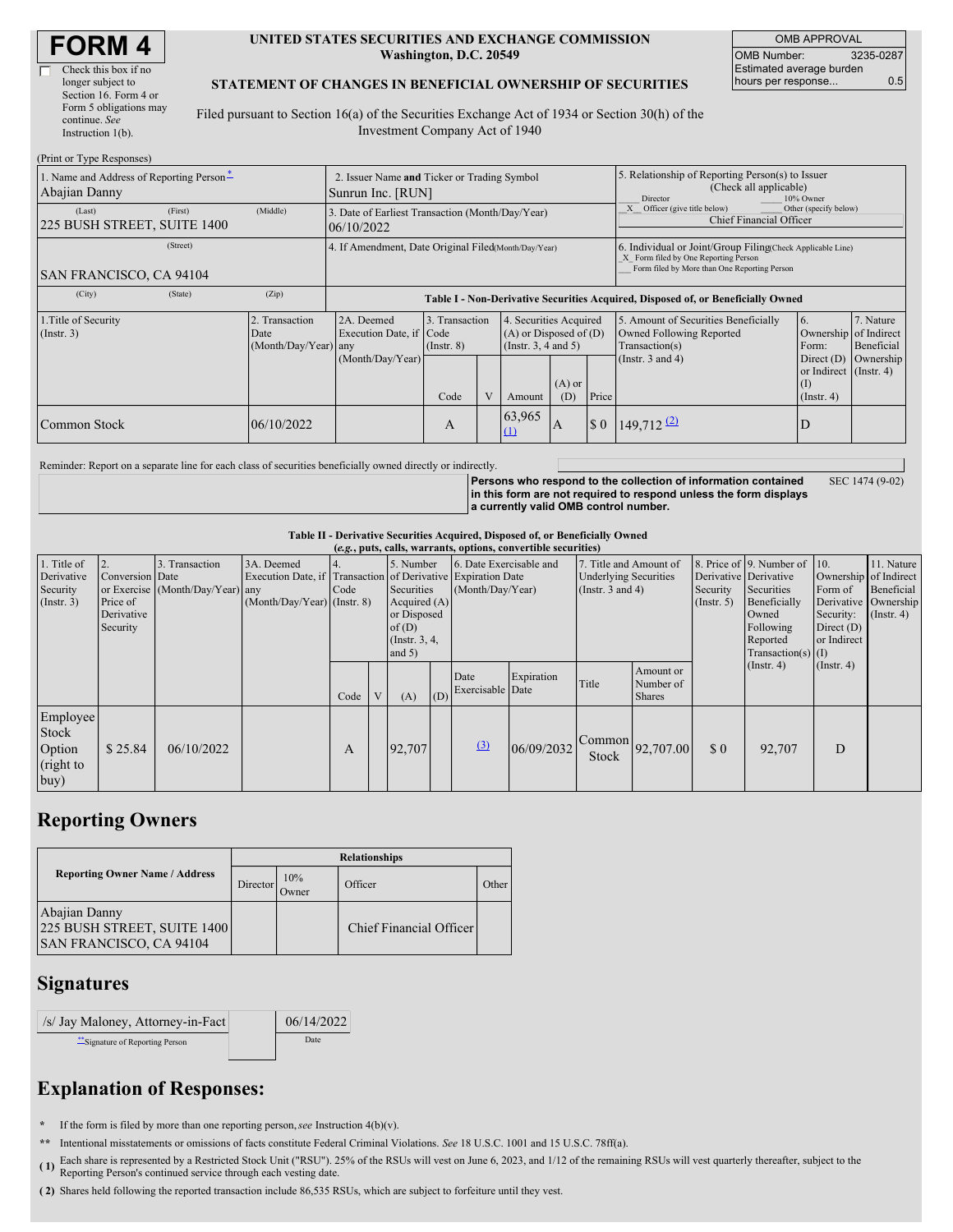| <b>FORM4</b> |  |
|--------------|--|
|--------------|--|

 $(D_{\text{start}} \sim T_{\text{true}} \cdot D)$ 

| Check this box if no   |
|------------------------|
| longer subject to      |
| Section 16. Form 4 or  |
| Form 5 obligations may |
| continue. See          |
| Instruction $1(b)$ .   |
|                        |

#### **UNITED STATES SECURITIES AND EXCHANGE COMMISSION Washington, D.C. 20549**

| <b>OMB APPROVAL</b>      |           |  |  |  |  |
|--------------------------|-----------|--|--|--|--|
| <b>OMB Number:</b>       | 3235-0287 |  |  |  |  |
| Estimated average burden |           |  |  |  |  |
| hours per response       | 0.5       |  |  |  |  |

SEC 1474 (9-02)

### **STATEMENT OF CHANGES IN BENEFICIAL OWNERSHIP OF SECURITIES**

Filed pursuant to Section 16(a) of the Securities Exchange Act of 1934 or Section 30(h) of the Investment Company Act of 1940

| $(1 \text{ min of 1 ypc Rcspons})$<br>1. Name and Address of Reporting Person-<br>Abajian Danny | 2. Issuer Name and Ticker or Trading Symbol<br>Sunrun Inc. [RUN] |                                                                                                                                                                                                            |      |  |               | 5. Relationship of Reporting Person(s) to Issuer<br>(Check all applicable)<br>10% Owner<br>Director |             |                                                                                       |                                                                      |                         |  |
|-------------------------------------------------------------------------------------------------|------------------------------------------------------------------|------------------------------------------------------------------------------------------------------------------------------------------------------------------------------------------------------------|------|--|---------------|-----------------------------------------------------------------------------------------------------|-------------|---------------------------------------------------------------------------------------|----------------------------------------------------------------------|-------------------------|--|
| (First)<br>(Last)<br>225 BUSH STREET, SUITE 1400                                                | (Middle)                                                         | 3. Date of Earliest Transaction (Month/Day/Year)<br>06/10/2022                                                                                                                                             |      |  |               |                                                                                                     |             | Other (specify below)<br>Officer (give title below)<br><b>Chief Financial Officer</b> |                                                                      |                         |  |
| (Street)<br><b>SAN FRANCISCO, CA 94104</b>                                                      |                                                                  | 4. If Amendment, Date Original Filed(Month/Day/Year)<br>6. Individual or Joint/Group Filing Check Applicable Line)<br>X Form filed by One Reporting Person<br>Form filed by More than One Reporting Person |      |  |               |                                                                                                     |             |                                                                                       |                                                                      |                         |  |
| (City)<br>(State)                                                                               | (Zip)                                                            | Table I - Non-Derivative Securities Acquired, Disposed of, or Beneficially Owned                                                                                                                           |      |  |               |                                                                                                     |             |                                                                                       |                                                                      |                         |  |
| 2. Transaction<br>1. Title of Security<br>(Insert. 3)<br>Date<br>(Month/Day/Year) any           |                                                                  | 2A. Deemed<br>3. Transaction<br>4. Securities Acquired<br>Execution Date, if Code<br>$(A)$ or Disposed of $(D)$<br>(Instr. $3, 4$ and $5$ )<br>$($ Instr. $8)$                                             |      |  |               |                                                                                                     |             | 5. Amount of Securities Beneficially<br>Owned Following Reported<br>Transaction(s)    | 6.<br>Ownership of Indirect<br>Form:                                 | 7. Nature<br>Beneficial |  |
|                                                                                                 |                                                                  | (Month/Day/Year)                                                                                                                                                                                           | Code |  | Amount        | $(A)$ or<br>(D)                                                                                     | Price       | (Instr. $3$ and $4$ )                                                                 | Direct $(D)$<br>or Indirect (Instr. 4)<br>$($ I)<br>$($ Instr. 4 $)$ | Ownership               |  |
| Common Stock                                                                                    | 06/10/2022                                                       |                                                                                                                                                                                                            | A    |  | 63,965<br>(1) | A                                                                                                   | $\sqrt{5}0$ | $149,712$ <sup>(2)</sup>                                                              | D                                                                    |                         |  |

Reminder: Report on a separate line for each class of securities beneficially owned directly or indirectly.

**Persons who respond to the collection of information contained in this form are not required to respond unless the form displays a currently valid OMB control number.**

**Table II - Derivative Securities Acquired, Disposed of, or Beneficially Owned**

|                  | (e.g., puts, calls, warrants, options, convertible securities) |                                  |                                                              |      |  |               |     |                         |            |                              |                                              |                       |                              |                       |                      |
|------------------|----------------------------------------------------------------|----------------------------------|--------------------------------------------------------------|------|--|---------------|-----|-------------------------|------------|------------------------------|----------------------------------------------|-----------------------|------------------------------|-----------------------|----------------------|
| 1. Title of      | 2.                                                             | 3. Transaction                   | 3A. Deemed                                                   |      |  | 5. Number     |     | 6. Date Exercisable and |            | 7. Title and Amount of       |                                              |                       | 8. Price of 9. Number of 10. |                       | 11. Nature           |
| Derivative       | Conversion Date                                                |                                  | Execution Date, if Transaction of Derivative Expiration Date |      |  |               |     |                         |            | <b>Underlying Securities</b> |                                              | Derivative Derivative |                              | Ownership of Indirect |                      |
| Security         |                                                                | or Exercise (Month/Day/Year) any |                                                              | Code |  | Securities    |     | (Month/Day/Year)        |            | (Instr. $3$ and $4$ )        |                                              | Security              | Securities                   | Form of               | Beneficial           |
| $($ Instr. 3 $)$ | Price of                                                       |                                  | (Month/Day/Year) (Instr. 8)                                  |      |  | Acquired (A)  |     |                         |            |                              |                                              | $($ Instr. 5 $)$      | Beneficially                 |                       | Derivative Ownership |
|                  | Derivative                                                     |                                  |                                                              |      |  | or Disposed   |     |                         |            |                              |                                              |                       | Owned                        | Security:             | $($ Instr. 4 $)$     |
|                  | Security                                                       |                                  |                                                              |      |  | of $(D)$      |     |                         |            |                              |                                              |                       | Following                    | Direct $(D)$          |                      |
|                  |                                                                |                                  |                                                              |      |  | (Instr. 3, 4, |     |                         |            |                              |                                              |                       | Reported                     | or Indirect           |                      |
|                  |                                                                |                                  |                                                              |      |  | and $5)$      |     |                         |            |                              |                                              |                       | Transaction(s) $(I)$         |                       |                      |
|                  |                                                                |                                  |                                                              |      |  |               |     | Date                    | Expiration |                              | Amount or                                    |                       | (Insert. 4)                  | $($ Instr. 4 $)$      |                      |
|                  |                                                                |                                  |                                                              |      |  |               |     | Exercisable Date        |            | Title                        | Number of                                    |                       |                              |                       |                      |
|                  |                                                                |                                  |                                                              | Code |  | (A)           | (D) |                         |            |                              | <b>Shares</b>                                |                       |                              |                       |                      |
| Employee         |                                                                |                                  |                                                              |      |  |               |     |                         |            |                              |                                              |                       |                              |                       |                      |
| Stock            |                                                                |                                  |                                                              |      |  |               |     |                         |            |                              |                                              |                       |                              |                       |                      |
| Option           | \$25.84                                                        | 06/10/2022                       |                                                              | A    |  | 92,707        |     | (3)                     | 06/09/2032 |                              | $\sqrt{\text{Common}}\left 92,707.00\right $ | \$0                   | 92,707                       | D                     |                      |
|                  |                                                                |                                  |                                                              |      |  |               |     |                         |            | Stock                        |                                              |                       |                              |                       |                      |
| (right to        |                                                                |                                  |                                                              |      |  |               |     |                         |            |                              |                                              |                       |                              |                       |                      |
| buy)             |                                                                |                                  |                                                              |      |  |               |     |                         |            |                              |                                              |                       |                              |                       |                      |

## **Reporting Owners**

|                                                                                | <b>Relationships</b> |              |                         |       |  |  |  |  |
|--------------------------------------------------------------------------------|----------------------|--------------|-------------------------|-------|--|--|--|--|
| <b>Reporting Owner Name / Address</b>                                          | Director             | 10%<br>Owner | Officer                 | Other |  |  |  |  |
| Abajian Danny<br>225 BUSH STREET, SUITE 1400<br><b>SAN FRANCISCO, CA 94104</b> |                      |              | Chief Financial Officer |       |  |  |  |  |

### **Signatures**

/s/ Jay Maloney, Attorney-in-Fact 06/14/2022 \*\*Signature of Reporting Person Date

# **Explanation of Responses:**

**\*** If the form is filed by more than one reporting person,*see* Instruction 4(b)(v).

**\*\*** Intentional misstatements or omissions of facts constitute Federal Criminal Violations. *See* 18 U.S.C. 1001 and 15 U.S.C. 78ff(a).

(1) Each share is represented by a Restricted Stock Unit ("RSU"). 25% of the RSUs will vest on June 6, 2023, and 1/12 of the remaining RSUs will vest quarterly thereafter, subject to the Reporting Person's continued service through each vesting date.

**( 2)** Shares held following the reported transaction include 86,535 RSUs, which are subject to forfeiture until they vest.